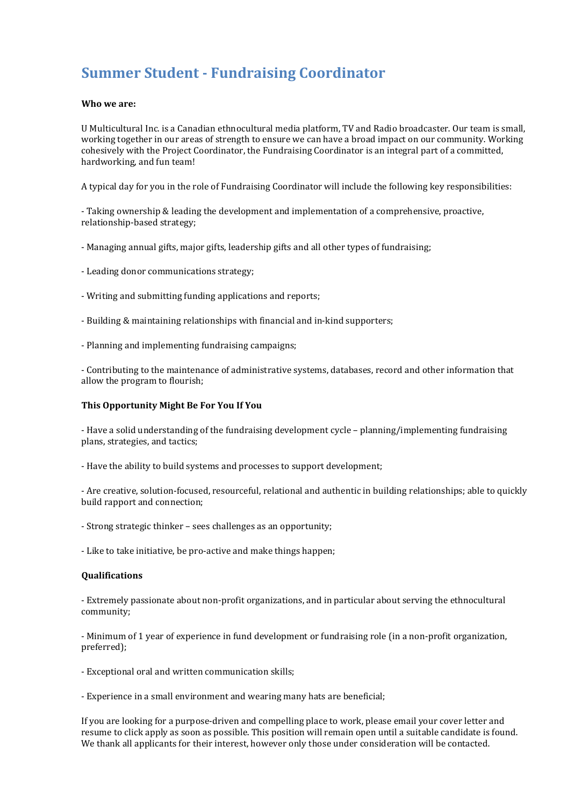# **Summer Student - Fundraising Coordinator**

### **Who we are:**

U Multicultural Inc. is a Canadian ethnocultural media platform, TV and Radio broadcaster. Our team is small, working together in our areas of strength to ensure we can have a broad impact on our community. Working cohesively with the Project Coordinator, the Fundraising Coordinator is an integral part of a committed, hardworking, and fun team!

A typical day for you in the role of Fundraising Coordinator will include the following key responsibilities:

- Taking ownership & leading the development and implementation of a comprehensive, proactive, relationship-based strategy;

- Managing annual gifts, major gifts, leadership gifts and all other types of fundraising;
- Leading donor communications strategy;
- Writing and submitting funding applications and reports;
- Building & maintaining relationships with financial and in-kind supporters;
- Planning and implementing fundraising campaigns;

- Contributing to the maintenance of administrative systems, databases, record and other information that allow the program to flourish;

## **This Opportunity Might Be For You If You**

- Have a solid understanding of the fundraising development cycle – planning/implementing fundraising plans, strategies, and tactics;

- Have the ability to build systems and processes to support development;

- Are creative, solution-focused, resourceful, relational and authentic in building relationships; able to quickly build rapport and connection;

- Strong strategic thinker – sees challenges as an opportunity;

- Like to take initiative, be pro-active and make things happen;

### **Qualifications**

- Extremely passionate about non-profit organizations, and in particular about serving the ethnocultural community;

- Minimum of 1 year of experience in fund development or fundraising role (in a non-profit organization, preferred);

- Exceptional oral and written communication skills;

- Experience in a small environment and wearing many hats are beneficial;

If you are looking for a purpose-driven and compelling place to work, please email your cover letter and resume to click apply as soon as possible. This position will remain open until a suitable candidate is found. We thank all applicants for their interest, however only those under consideration will be contacted.